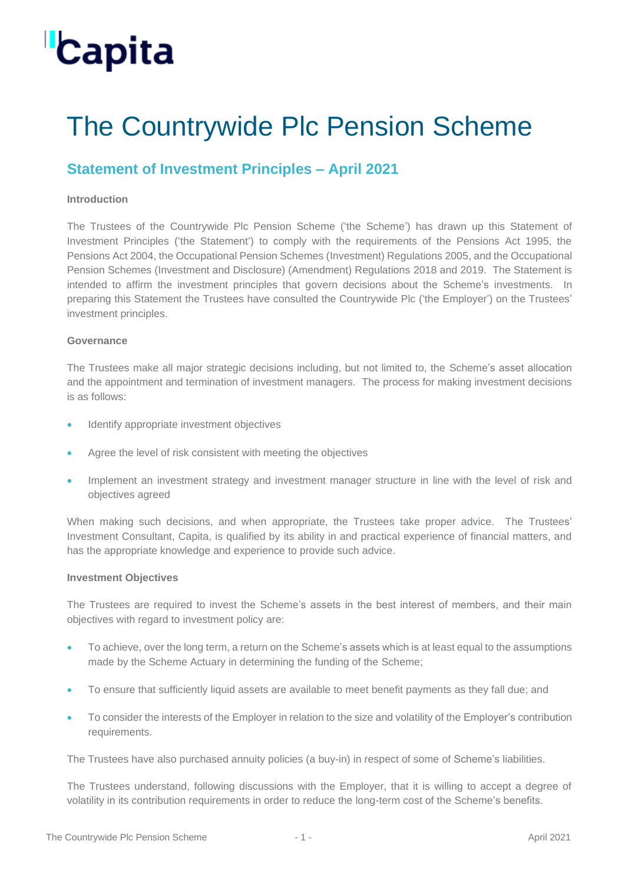### The Countrywide Plc Pension Scheme

### **Statement of Investment Principles – April 2021**

#### **Introduction**

The Trustees of the Countrywide Plc Pension Scheme ('the Scheme') has drawn up this Statement of Investment Principles ('the Statement') to comply with the requirements of the Pensions Act 1995, the Pensions Act 2004, the Occupational Pension Schemes (Investment) Regulations 2005, and the Occupational Pension Schemes (Investment and Disclosure) (Amendment) Regulations 2018 and 2019. The Statement is intended to affirm the investment principles that govern decisions about the Scheme's investments. In preparing this Statement the Trustees have consulted the Countrywide Plc ('the Employer') on the Trustees' investment principles.

#### **Governance**

The Trustees make all major strategic decisions including, but not limited to, the Scheme's asset allocation and the appointment and termination of investment managers. The process for making investment decisions is as follows:

- Identify appropriate investment objectives
- Agree the level of risk consistent with meeting the objectives
- Implement an investment strategy and investment manager structure in line with the level of risk and objectives agreed

When making such decisions, and when appropriate, the Trustees take proper advice. The Trustees' Investment Consultant, Capita, is qualified by its ability in and practical experience of financial matters, and has the appropriate knowledge and experience to provide such advice.

#### **Investment Objectives**

The Trustees are required to invest the Scheme's assets in the best interest of members, and their main objectives with regard to investment policy are:

- To achieve, over the long term, a return on the Scheme's assets which is at least equal to the assumptions made by the Scheme Actuary in determining the funding of the Scheme;
- To ensure that sufficiently liquid assets are available to meet benefit payments as they fall due; and
- To consider the interests of the Employer in relation to the size and volatility of the Employer's contribution requirements.

The Trustees have also purchased annuity policies (a buy-in) in respect of some of Scheme's liabilities.

The Trustees understand, following discussions with the Employer, that it is willing to accept a degree of volatility in its contribution requirements in order to reduce the long-term cost of the Scheme's benefits.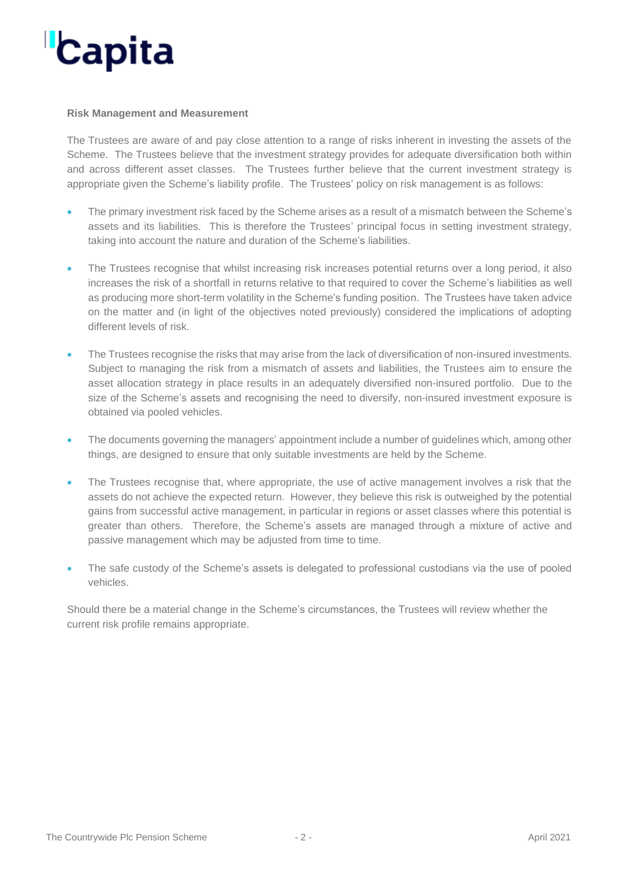#### **Risk Management and Measurement**

The Trustees are aware of and pay close attention to a range of risks inherent in investing the assets of the Scheme. The Trustees believe that the investment strategy provides for adequate diversification both within and across different asset classes. The Trustees further believe that the current investment strategy is appropriate given the Scheme's liability profile. The Trustees' policy on risk management is as follows:

- The primary investment risk faced by the Scheme arises as a result of a mismatch between the Scheme's assets and its liabilities. This is therefore the Trustees' principal focus in setting investment strategy, taking into account the nature and duration of the Scheme's liabilities.
- The Trustees recognise that whilst increasing risk increases potential returns over a long period, it also increases the risk of a shortfall in returns relative to that required to cover the Scheme's liabilities as well as producing more short-term volatility in the Scheme's funding position. The Trustees have taken advice on the matter and (in light of the objectives noted previously) considered the implications of adopting different levels of risk.
- The Trustees recognise the risks that may arise from the lack of diversification of non-insured investments. Subject to managing the risk from a mismatch of assets and liabilities, the Trustees aim to ensure the asset allocation strategy in place results in an adequately diversified non-insured portfolio. Due to the size of the Scheme's assets and recognising the need to diversify, non-insured investment exposure is obtained via pooled vehicles.
- The documents governing the managers' appointment include a number of guidelines which, among other things, are designed to ensure that only suitable investments are held by the Scheme.
- The Trustees recognise that, where appropriate, the use of active management involves a risk that the assets do not achieve the expected return. However, they believe this risk is outweighed by the potential gains from successful active management, in particular in regions or asset classes where this potential is greater than others. Therefore, the Scheme's assets are managed through a mixture of active and passive management which may be adjusted from time to time.
- The safe custody of the Scheme's assets is delegated to professional custodians via the use of pooled vehicles.

Should there be a material change in the Scheme's circumstances, the Trustees will review whether the current risk profile remains appropriate.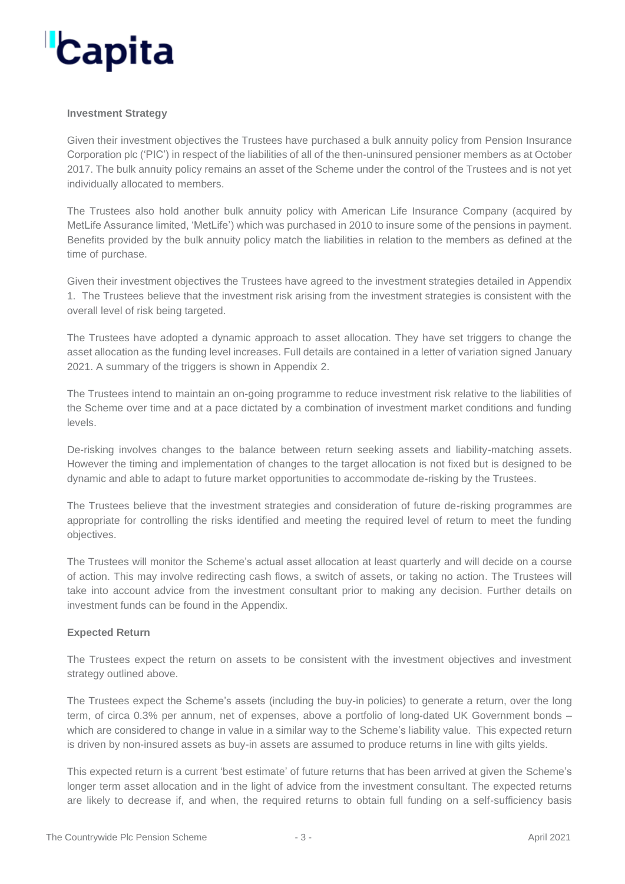#### **Investment Strategy**

Given their investment objectives the Trustees have purchased a bulk annuity policy from Pension Insurance Corporation plc ('PIC') in respect of the liabilities of all of the then-uninsured pensioner members as at October 2017. The bulk annuity policy remains an asset of the Scheme under the control of the Trustees and is not yet individually allocated to members.

The Trustees also hold another bulk annuity policy with American Life Insurance Company (acquired by MetLife Assurance limited, 'MetLife') which was purchased in 2010 to insure some of the pensions in payment. Benefits provided by the bulk annuity policy match the liabilities in relation to the members as defined at the time of purchase.

Given their investment objectives the Trustees have agreed to the investment strategies detailed in Appendix 1. The Trustees believe that the investment risk arising from the investment strategies is consistent with the overall level of risk being targeted.

The Trustees have adopted a dynamic approach to asset allocation. They have set triggers to change the asset allocation as the funding level increases. Full details are contained in a letter of variation signed January 2021. A summary of the triggers is shown in Appendix 2.

The Trustees intend to maintain an on-going programme to reduce investment risk relative to the liabilities of the Scheme over time and at a pace dictated by a combination of investment market conditions and funding levels.

De-risking involves changes to the balance between return seeking assets and liability-matching assets. However the timing and implementation of changes to the target allocation is not fixed but is designed to be dynamic and able to adapt to future market opportunities to accommodate de-risking by the Trustees.

The Trustees believe that the investment strategies and consideration of future de-risking programmes are appropriate for controlling the risks identified and meeting the required level of return to meet the funding objectives.

The Trustees will monitor the Scheme's actual asset allocation at least quarterly and will decide on a course of action. This may involve redirecting cash flows, a switch of assets, or taking no action. The Trustees will take into account advice from the investment consultant prior to making any decision. Further details on investment funds can be found in the Appendix.

#### **Expected Return**

The Trustees expect the return on assets to be consistent with the investment objectives and investment strategy outlined above.

The Trustees expect the Scheme's assets (including the buy-in policies) to generate a return, over the long term, of circa 0.3% per annum, net of expenses, above a portfolio of long-dated UK Government bonds – which are considered to change in value in a similar way to the Scheme's liability value. This expected return is driven by non-insured assets as buy-in assets are assumed to produce returns in line with gilts yields.

This expected return is a current 'best estimate' of future returns that has been arrived at given the Scheme's longer term asset allocation and in the light of advice from the investment consultant. The expected returns are likely to decrease if, and when, the required returns to obtain full funding on a self-sufficiency basis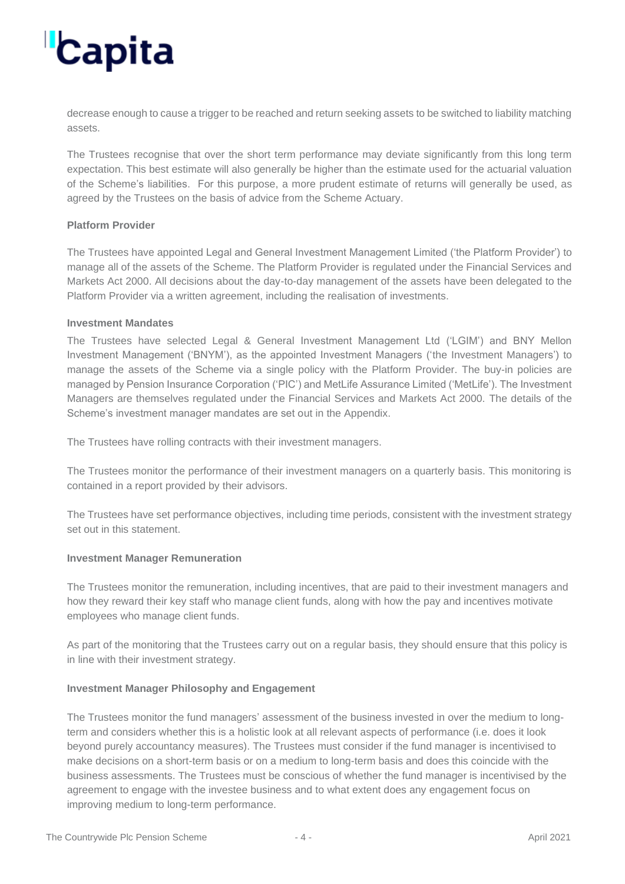decrease enough to cause a trigger to be reached and return seeking assets to be switched to liability matching assets.

The Trustees recognise that over the short term performance may deviate significantly from this long term expectation. This best estimate will also generally be higher than the estimate used for the actuarial valuation of the Scheme's liabilities. For this purpose, a more prudent estimate of returns will generally be used, as agreed by the Trustees on the basis of advice from the Scheme Actuary.

#### **Platform Provider**

The Trustees have appointed Legal and General Investment Management Limited ('the Platform Provider') to manage all of the assets of the Scheme. The Platform Provider is regulated under the Financial Services and Markets Act 2000. All decisions about the day-to-day management of the assets have been delegated to the Platform Provider via a written agreement, including the realisation of investments.

#### **Investment Mandates**

The Trustees have selected Legal & General Investment Management Ltd ('LGIM') and BNY Mellon Investment Management ('BNYM'), as the appointed Investment Managers ('the Investment Managers') to manage the assets of the Scheme via a single policy with the Platform Provider. The buy-in policies are managed by Pension Insurance Corporation ('PIC') and MetLife Assurance Limited ('MetLife'). The Investment Managers are themselves regulated under the Financial Services and Markets Act 2000. The details of the Scheme's investment manager mandates are set out in the Appendix.

The Trustees have rolling contracts with their investment managers.

The Trustees monitor the performance of their investment managers on a quarterly basis. This monitoring is contained in a report provided by their advisors.

The Trustees have set performance objectives, including time periods, consistent with the investment strategy set out in this statement.

#### **Investment Manager Remuneration**

The Trustees monitor the remuneration, including incentives, that are paid to their investment managers and how they reward their key staff who manage client funds, along with how the pay and incentives motivate employees who manage client funds.

As part of the monitoring that the Trustees carry out on a regular basis, they should ensure that this policy is in line with their investment strategy.

#### **Investment Manager Philosophy and Engagement**

The Trustees monitor the fund managers' assessment of the business invested in over the medium to longterm and considers whether this is a holistic look at all relevant aspects of performance (i.e. does it look beyond purely accountancy measures). The Trustees must consider if the fund manager is incentivised to make decisions on a short-term basis or on a medium to long-term basis and does this coincide with the business assessments. The Trustees must be conscious of whether the fund manager is incentivised by the agreement to engage with the investee business and to what extent does any engagement focus on improving medium to long-term performance.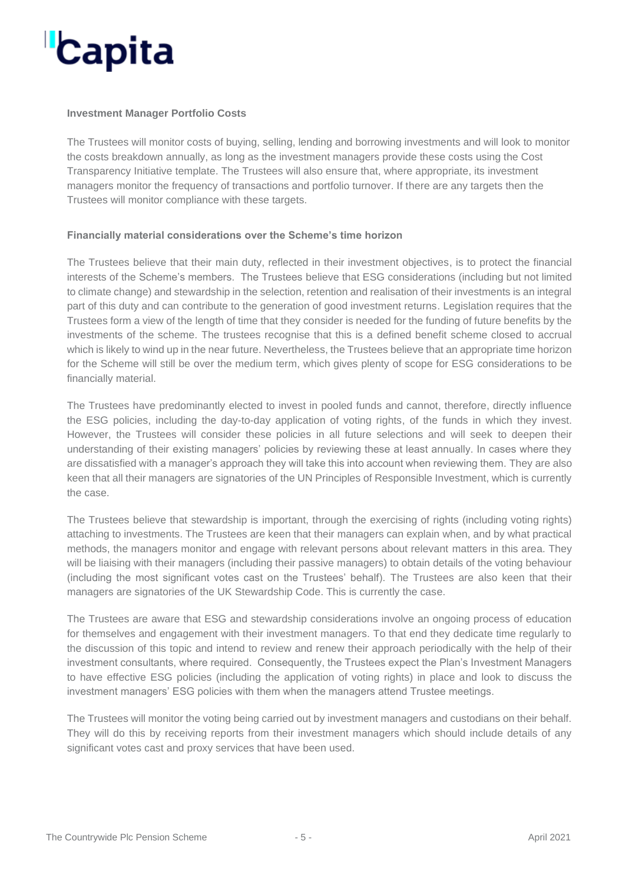#### **Investment Manager Portfolio Costs**

The Trustees will monitor costs of buying, selling, lending and borrowing investments and will look to monitor the costs breakdown annually, as long as the investment managers provide these costs using the Cost Transparency Initiative template. The Trustees will also ensure that, where appropriate, its investment managers monitor the frequency of transactions and portfolio turnover. If there are any targets then the Trustees will monitor compliance with these targets.

#### **Financially material considerations over the Scheme's time horizon**

The Trustees believe that their main duty, reflected in their investment objectives, is to protect the financial interests of the Scheme's members. The Trustees believe that ESG considerations (including but not limited to climate change) and stewardship in the selection, retention and realisation of their investments is an integral part of this duty and can contribute to the generation of good investment returns. Legislation requires that the Trustees form a view of the length of time that they consider is needed for the funding of future benefits by the investments of the scheme. The trustees recognise that this is a defined benefit scheme closed to accrual which is likely to wind up in the near future. Nevertheless, the Trustees believe that an appropriate time horizon for the Scheme will still be over the medium term, which gives plenty of scope for ESG considerations to be financially material.

The Trustees have predominantly elected to invest in pooled funds and cannot, therefore, directly influence the ESG policies, including the day-to-day application of voting rights, of the funds in which they invest. However, the Trustees will consider these policies in all future selections and will seek to deepen their understanding of their existing managers' policies by reviewing these at least annually. In cases where they are dissatisfied with a manager's approach they will take this into account when reviewing them. They are also keen that all their managers are signatories of the UN Principles of Responsible Investment, which is currently the case.

The Trustees believe that stewardship is important, through the exercising of rights (including voting rights) attaching to investments. The Trustees are keen that their managers can explain when, and by what practical methods, the managers monitor and engage with relevant persons about relevant matters in this area. They will be liaising with their managers (including their passive managers) to obtain details of the voting behaviour (including the most significant votes cast on the Trustees' behalf). The Trustees are also keen that their managers are signatories of the UK Stewardship Code. This is currently the case.

The Trustees are aware that ESG and stewardship considerations involve an ongoing process of education for themselves and engagement with their investment managers. To that end they dedicate time regularly to the discussion of this topic and intend to review and renew their approach periodically with the help of their investment consultants, where required. Consequently, the Trustees expect the Plan's Investment Managers to have effective ESG policies (including the application of voting rights) in place and look to discuss the investment managers' ESG policies with them when the managers attend Trustee meetings.

The Trustees will monitor the voting being carried out by investment managers and custodians on their behalf. They will do this by receiving reports from their investment managers which should include details of any significant votes cast and proxy services that have been used.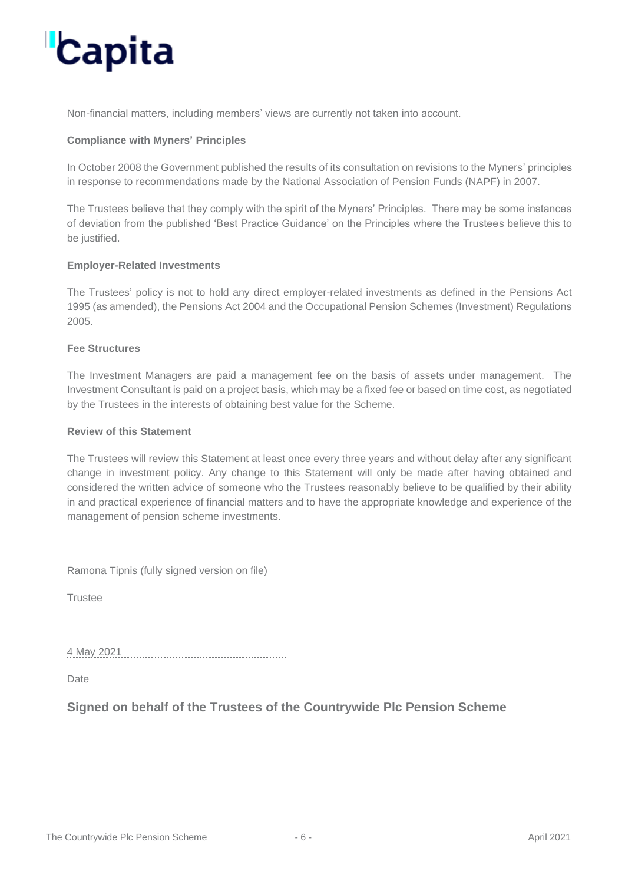Non-financial matters, including members' views are currently not taken into account.

#### **Compliance with Myners' Principles**

In October 2008 the Government published the results of its consultation on revisions to the Myners' principles in response to recommendations made by the National Association of Pension Funds (NAPF) in 2007.

The Trustees believe that they comply with the spirit of the Myners' Principles. There may be some instances of deviation from the published 'Best Practice Guidance' on the Principles where the Trustees believe this to be justified.

#### **Employer-Related Investments**

The Trustees' policy is not to hold any direct employer-related investments as defined in the Pensions Act 1995 (as amended), the Pensions Act 2004 and the Occupational Pension Schemes (Investment) Regulations 2005.

#### **Fee Structures**

The Investment Managers are paid a management fee on the basis of assets under management. The Investment Consultant is paid on a project basis, which may be a fixed fee or based on time cost, as negotiated by the Trustees in the interests of obtaining best value for the Scheme.

#### **Review of this Statement**

The Trustees will review this Statement at least once every three years and without delay after any significant change in investment policy. Any change to this Statement will only be made after having obtained and considered the written advice of someone who the Trustees reasonably believe to be qualified by their ability in and practical experience of financial matters and to have the appropriate knowledge and experience of the management of pension scheme investments.

Ramona Tipnis (fully signed version on file)

**Trustee** 

4 May 2021

Date

**Signed on behalf of the Trustees of the Countrywide Plc Pension Scheme**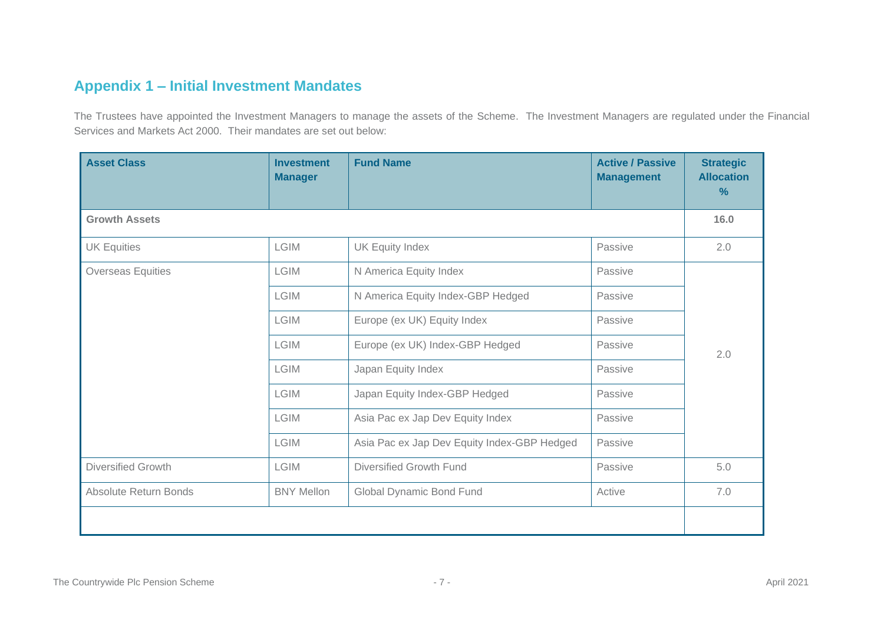### **Appendix 1 – Initial Investment Mandates**

The Trustees have appointed the Investment Managers to manage the assets of the Scheme. The Investment Managers are regulated under the Financial Services and Markets Act 2000. Their mandates are set out below:

| <b>Asset Class</b>        | <b>Investment</b><br><b>Manager</b> | <b>Fund Name</b>                            | <b>Active / Passive</b><br><b>Management</b> | <b>Strategic</b><br><b>Allocation</b><br>% |  |  |
|---------------------------|-------------------------------------|---------------------------------------------|----------------------------------------------|--------------------------------------------|--|--|
| <b>Growth Assets</b>      |                                     |                                             |                                              |                                            |  |  |
| <b>UK Equities</b>        | <b>LGIM</b>                         | Passive<br><b>UK Equity Index</b>           |                                              | 2.0                                        |  |  |
| <b>Overseas Equities</b>  | <b>LGIM</b>                         | N America Equity Index                      | Passive                                      | 2.0                                        |  |  |
|                           | <b>LGIM</b>                         | N America Equity Index-GBP Hedged           | Passive                                      |                                            |  |  |
|                           | <b>LGIM</b>                         | Europe (ex UK) Equity Index                 | Passive                                      |                                            |  |  |
|                           | <b>LGIM</b>                         | Europe (ex UK) Index-GBP Hedged             | Passive                                      |                                            |  |  |
|                           | <b>LGIM</b>                         | Japan Equity Index                          | Passive                                      |                                            |  |  |
|                           | <b>LGIM</b>                         | Japan Equity Index-GBP Hedged               | Passive                                      |                                            |  |  |
|                           | <b>LGIM</b>                         | Asia Pac ex Jap Dev Equity Index            | Passive                                      |                                            |  |  |
|                           | <b>LGIM</b>                         | Asia Pac ex Jap Dev Equity Index-GBP Hedged | Passive                                      |                                            |  |  |
| <b>Diversified Growth</b> | <b>LGIM</b>                         | Diversified Growth Fund                     | Passive                                      | 5.0                                        |  |  |
| Absolute Return Bonds     | <b>BNY Mellon</b>                   | Global Dynamic Bond Fund                    | Active                                       | 7.0                                        |  |  |
|                           |                                     |                                             |                                              |                                            |  |  |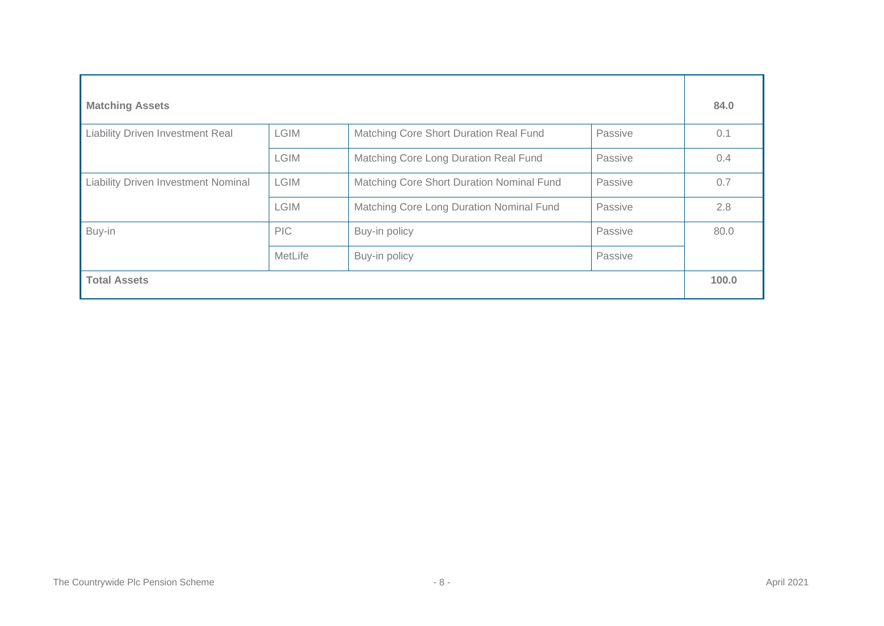| <b>Matching Assets</b>                     |             |                                           |         |      |  |
|--------------------------------------------|-------------|-------------------------------------------|---------|------|--|
| <b>Liability Driven Investment Real</b>    | <b>LGIM</b> | Matching Core Short Duration Real Fund    | Passive | 0.1  |  |
|                                            | <b>LGIM</b> | Matching Core Long Duration Real Fund     | Passive | 0.4  |  |
| <b>Liability Driven Investment Nominal</b> | <b>LGIM</b> | Matching Core Short Duration Nominal Fund | Passive | 0.7  |  |
|                                            | <b>LGIM</b> | Matching Core Long Duration Nominal Fund  | Passive | 2.8  |  |
| Buy-in                                     | <b>PIC</b>  | Buy-in policy                             | Passive | 80.0 |  |
|                                            | MetLife     | Buy-in policy                             | Passive |      |  |
| <b>Total Assets</b>                        |             |                                           |         |      |  |